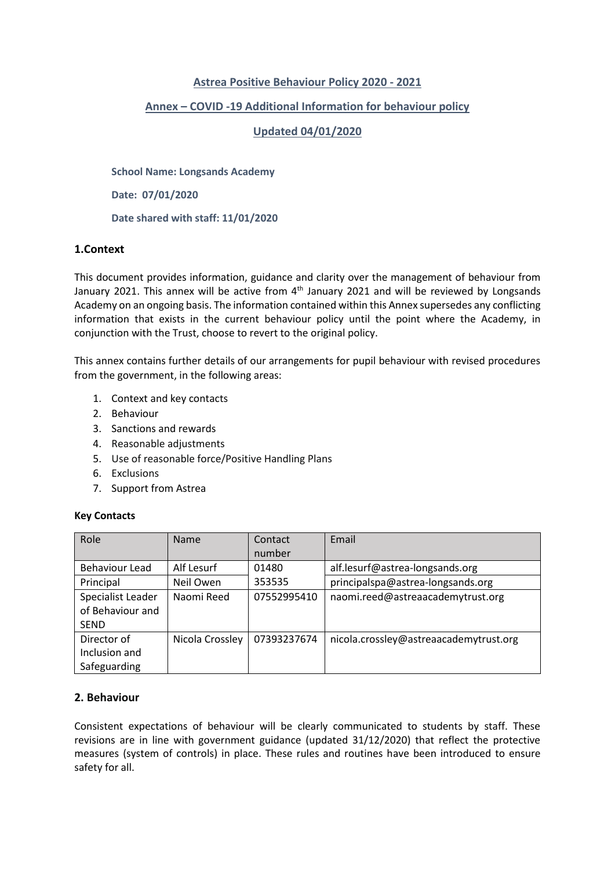# **Astrea Positive Behaviour Policy 2020 - 2021**

# **Annex – COVID -19 Additional Information for behaviour policy**

# **Updated 04/01/2020**

**School Name: Longsands Academy**

**Date: 07/01/2020**

**Date shared with staff: 11/01/2020**

### **1.Context**

This document provides information, guidance and clarity over the management of behaviour from January 2021. This annex will be active from 4<sup>th</sup> January 2021 and will be reviewed by Longsands Academy on an ongoing basis. The information contained within this Annex supersedes any conflicting information that exists in the current behaviour policy until the point where the Academy, in conjunction with the Trust, choose to revert to the original policy.

This annex contains further details of our arrangements for pupil behaviour with revised procedures from the government, in the following areas:

- 1. Context and key contacts
- 2. Behaviour
- 3. Sanctions and rewards
- 4. Reasonable adjustments
- 5. Use of reasonable force/Positive Handling Plans
- 6. Exclusions
- 7. Support from Astrea

### **Key Contacts**

| Role              | <b>Name</b>     | Contact     | Email                                  |
|-------------------|-----------------|-------------|----------------------------------------|
|                   |                 | number      |                                        |
| Behaviour Lead    | Alf Lesurf      | 01480       | alf.lesurf@astrea-longsands.org        |
| Principal         | Neil Owen       | 353535      | principalspa@astrea-longsands.org      |
| Specialist Leader | Naomi Reed      | 07552995410 | naomi.reed@astreaacademytrust.org      |
| of Behaviour and  |                 |             |                                        |
| <b>SEND</b>       |                 |             |                                        |
| Director of       | Nicola Crossley | 07393237674 | nicola.crossley@astreaacademytrust.org |
| Inclusion and     |                 |             |                                        |
| Safeguarding      |                 |             |                                        |

# **2. Behaviour**

Consistent expectations of behaviour will be clearly communicated to students by staff. These revisions are in line with government guidance (updated 31/12/2020) that reflect the protective measures (system of controls) in place. These rules and routines have been introduced to ensure safety for all.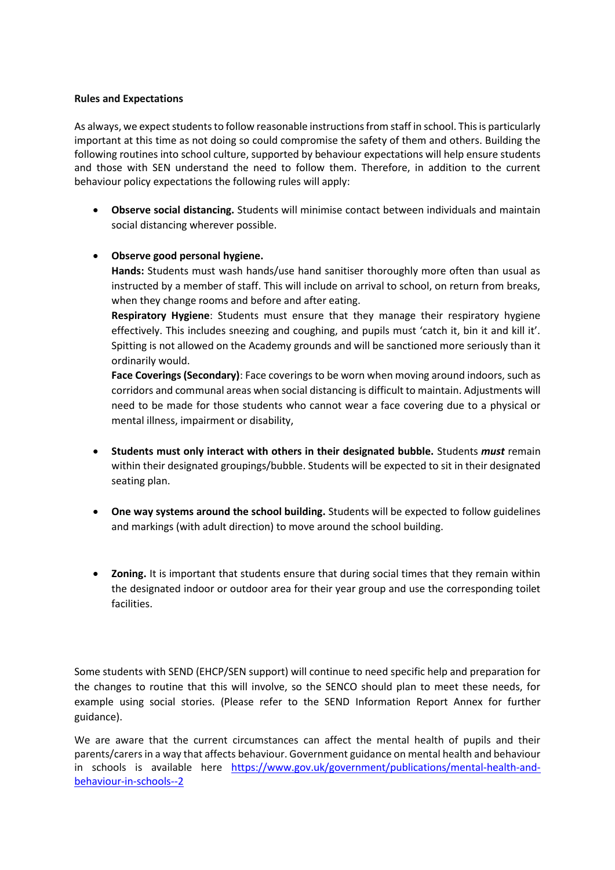### **Rules and Expectations**

As always, we expect students to follow reasonable instructions from staff in school. This is particularly important at this time as not doing so could compromise the safety of them and others. Building the following routines into school culture, supported by behaviour expectations will help ensure students and those with SEN understand the need to follow them. Therefore, in addition to the current behaviour policy expectations the following rules will apply:

• **Observe social distancing.** Students will minimise contact between individuals and maintain social distancing wherever possible.

### • **Observe good personal hygiene.**

**Hands:** Students must wash hands/use hand sanitiser thoroughly more often than usual as instructed by a member of staff. This will include on arrival to school, on return from breaks, when they change rooms and before and after eating.

**Respiratory Hygiene**: Students must ensure that they manage their respiratory hygiene effectively. This includes sneezing and coughing, and pupils must 'catch it, bin it and kill it'. Spitting is not allowed on the Academy grounds and will be sanctioned more seriously than it ordinarily would.

**Face Coverings (Secondary)**: Face coverings to be worn when moving around indoors, such as corridors and communal areas when social distancing is difficult to maintain. Adjustments will need to be made for those students who cannot wear a face covering due to a physical or mental illness, impairment or disability,

- **Students must only interact with others in their designated bubble.** Students *must* remain within their designated groupings/bubble. Students will be expected to sit in their designated seating plan.
- **One way systems around the school building.** Students will be expected to follow guidelines and markings (with adult direction) to move around the school building.
- **Zoning.** It is important that students ensure that during social times that they remain within the designated indoor or outdoor area for their year group and use the corresponding toilet facilities.

Some students with SEND (EHCP/SEN support) will continue to need specific help and preparation for the changes to routine that this will involve, so the SENCO should plan to meet these needs, for example using social stories. (Please refer to the SEND Information Report Annex for further guidance).

We are aware that the current circumstances can affect the mental health of pupils and their parents/carers in a way that affects behaviour. Government guidance on mental health and behaviour in schools is available here [https://www.gov.uk/government/publications/mental-health-and](https://www.gov.uk/government/publications/mental-health-and-behaviour-in-schools--2)[behaviour-in-schools--2](https://www.gov.uk/government/publications/mental-health-and-behaviour-in-schools--2)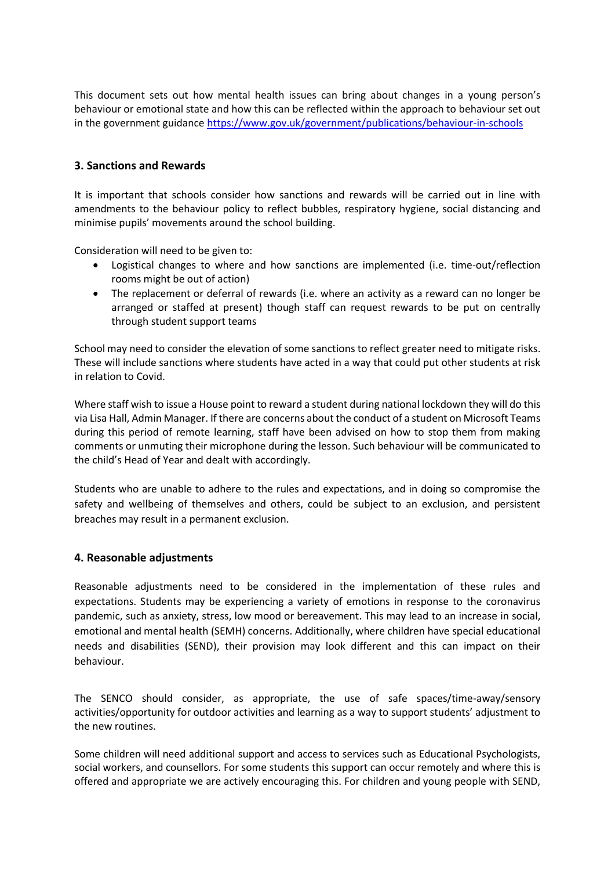This document sets out how mental health issues can bring about changes in a young person's behaviour or emotional state and how this can be reflected within the approach to behaviour set out in the government guidance<https://www.gov.uk/government/publications/behaviour-in-schools>

# **3. Sanctions and Rewards**

It is important that schools consider how sanctions and rewards will be carried out in line with amendments to the behaviour policy to reflect bubbles, respiratory hygiene, social distancing and minimise pupils' movements around the school building.

Consideration will need to be given to:

- Logistical changes to where and how sanctions are implemented (i.e. time-out/reflection rooms might be out of action)
- The replacement or deferral of rewards (i.e. where an activity as a reward can no longer be arranged or staffed at present) though staff can request rewards to be put on centrally through student support teams

School may need to consider the elevation of some sanctions to reflect greater need to mitigate risks. These will include sanctions where students have acted in a way that could put other students at risk in relation to Covid.

Where staff wish to issue a House point to reward a student during national lockdown they will do this via Lisa Hall, Admin Manager. If there are concerns about the conduct of a student on Microsoft Teams during this period of remote learning, staff have been advised on how to stop them from making comments or unmuting their microphone during the lesson. Such behaviour will be communicated to the child's Head of Year and dealt with accordingly.

Students who are unable to adhere to the rules and expectations, and in doing so compromise the safety and wellbeing of themselves and others, could be subject to an exclusion, and persistent breaches may result in a permanent exclusion.

### **4. Reasonable adjustments**

Reasonable adjustments need to be considered in the implementation of these rules and expectations. Students may be experiencing a variety of emotions in response to the coronavirus pandemic, such as anxiety, stress, low mood or bereavement. This may lead to an increase in social, emotional and mental health (SEMH) concerns. Additionally, where children have special educational needs and disabilities (SEND), their provision may look different and this can impact on their behaviour.

The SENCO should consider, as appropriate, the use of safe spaces/time-away/sensory activities/opportunity for outdoor activities and learning as a way to support students' adjustment to the new routines.

Some children will need additional support and access to services such as Educational Psychologists, social workers, and counsellors. For some students this support can occur remotely and where this is offered and appropriate we are actively encouraging this. For children and young people with SEND,